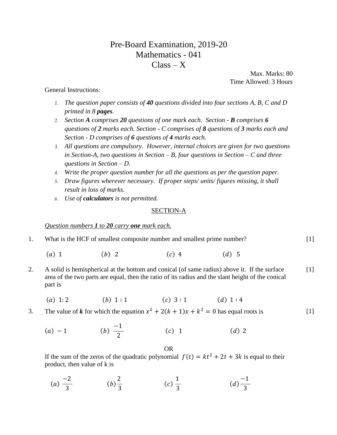# Pre-Board Examination, 2019-20 Mathematics - 041  $Class - X$

 Max. Marks: 80 Time Allowed: 3 Hours

# General Instructions:

- *1. The question paper consists of 40 questions divided into four sections A, B, C and D printed in 8 pages.*
- *2. Section A comprises 20 questions of one mark each. Section - B comprises 6 questions of 2 marks each. Section - C comprises of 8 questions of 3 marks each and Section - D comprises of 6 questions of 4 marks each.*
- *3. All questions are compulsory. However, internal choices are given for two questions in Section-A, two questions in Section – B, four questions in Section – C and three questions in Section – D.*
- *4. Write the proper question number for all the questions as per the question paper.*
- *5. Draw figures wherever necessary. If proper steps/ units/ figures missing, it shall result in loss of marks.*
- *6. Use of calculators is not permitted.*

## SECTION-A

## *Question numbers 1 to 20 carry one mark each.*

|  | What is the HCF of smallest composite number and smallest prime number? |  |
|--|-------------------------------------------------------------------------|--|
|--|-------------------------------------------------------------------------|--|

- (a) 1 (b) 2 (c) 4 (d) 5
- 2. A solid is hemispherical at the bottom and conical (of same radius) above it. If the surface area of the two parts are equal, then the ratio of its radius and the slant height of the conical part is  $[1]$ 
	- (a) 1: 2 (b) 1: 1 (c) 3 : 1 (d) 1 : 4
- 3. The value of *k* for which the equation  $x^2 + 2(k + 1)x + k^2 = 0$  has equal roots is  $[1]$ 
	- $(a) 1$ −1 2 (c) 1 (d) 2

OR

If the sum of the zeros of the quadratic polynomial  $f(t) = kt^2 + 2t + 3k$  is equal to their product, then value of k is

(a) 
$$
\frac{-2}{3}
$$
 \t\t (b)  $\frac{2}{3}$  \t\t (c)  $\frac{1}{3}$  \t\t (d)  $\frac{-1}{3}$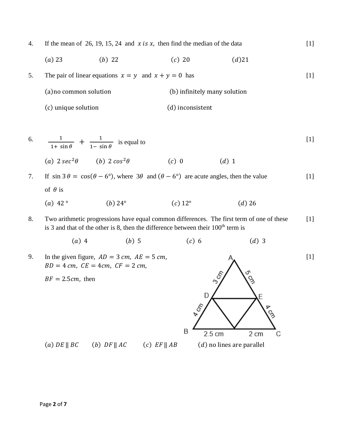4. If the mean of 26, 19, 15, 24 and  $x$  is  $x$ , then find the median of the data

$$
(a) 23 \t\t (b) 22 \t\t (c) 20 \t\t (d) 21
$$

5. The pair of linear equations  $x = y$  and  $x + y = 0$  has (a)no common solution (b) infinitely many solution

(c) unique solution (d) inconsistent

6. 
$$
\frac{1}{1 + \sin \theta} + \frac{1}{1 - \sin \theta}
$$
 is equal to  
(a) 
$$
2 \sec^2 \theta
$$
 (b) 
$$
2 \cos^2 \theta
$$
 (c) 0 (d) 1

7. If 
$$
\sin 3\theta = \cos(\theta - 6^{\circ})
$$
, where  $3\theta$  and  $(\theta - 6^{\circ})$  are acute angles, then the value  
of  $\theta$  is  
(a) 42° (b) 24° (c) 12° (d) 26

8. Two arithmetic progressions have equal common differences. The first term of one of these is 3 and that of the other is 8, then the difference between their  $100<sup>th</sup>$  term is [1]

(a) 4 (b) 5 (c) 6 (d) 3

9. In the given figure,  $AD = 3$  cm,  $AE = 5$  cm,  $BD = 4$  cm,  $CE = 4cm$ ,  $CF = 2$  cm,



[1]

[1]

[1]

 $BF = 2.5cm$ , then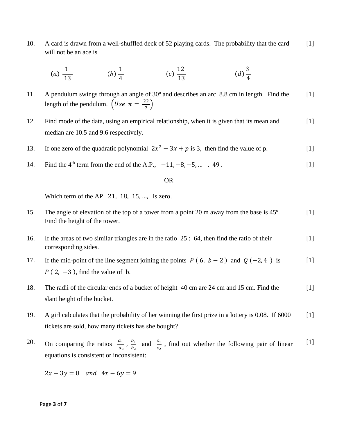10. A card is drawn from a well-shuffled deck of 52 playing cards. The probability that the card will not be an ace is [1]

(a) 
$$
\frac{1}{13}
$$
 \t\t (b)  $\frac{1}{4}$  \t\t (c)  $\frac{12}{13}$  \t\t (d)  $\frac{3}{4}$ 

- 11. A pendulum swings through an angle of 30º and describes an arc 8.8 cm in length. Find the length of the pendulum.  $\left( Use \ \pi = \frac{22}{7} \right)$  $\frac{22}{7}$  $[1]$
- 12. Find mode of the data, using an empirical relationship, when it is given that its mean and median are 10.5 and 9.6 respectively. [1]
- 13. If one zero of the quadratic polynomial  $2x^2 3x + p$  is 3, then find the value of p. [1]
- 14. Find the 4<sup>th</sup> term from the end of the A.P.,  $-11, -8, -5, ...$ , 49. [1]

#### OR

Which term of the AP 21, 18, 15, ..., is zero.

- 15. The angle of elevation of the top of a tower from a point 20 m away from the base is 45º. Find the height of the tower.  $[1]$
- 16. If the areas of two similar triangles are in the ratio 25 : 64, then find the ratio of their corresponding sides. [1]
- 17. If the mid-point of the line segment joining the points  $P(6, b 2)$  and  $Q(-2, 4)$  is  $P(2, -3)$ , find the value of b. [1]
- 18. The radii of the circular ends of a bucket of height 40 cm are 24 cm and 15 cm. Find the slant height of the bucket. [1]
- 19. A girl calculates that the probability of her winning the first prize in a lottery is 0.08. If 6000 tickets are sold, how many tickets has she bought? [1]
- 20. On comparing the ratios  $\frac{a_1}{a_2}$ ,  $\frac{b_1}{b_2}$  $\frac{b_1}{b_2}$  and  $\frac{c_1}{c_2}$ , find out whether the following pair of linear equations is consistent or inconsistent:  $[1]$

 $2x - 3y = 8$  and  $4x - 6y = 9$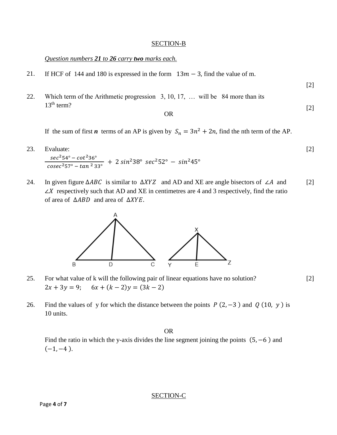#### SECTION-B

# *Question numbers 21 to 26 carry two marks each.*

- 21. If HCF of 144 and 180 is expressed in the form  $13m 3$ , find the value of m.
- 22. Which term of the Arithmetic progression 3, 10, 17, … will be 84 more than its 13<sup>th</sup> term?

OR

[2]

[2]

[2]

If the sum of first *n* terms of an AP is given by  $S_n = 3n^2 + 2n$ , find the nth term of the AP.

23. Evaluate:  
\n
$$
\frac{\sec^2 54^\circ - \cot^2 36^\circ}{\csc^2 57^\circ - \tan^2 33^\circ} + 2 \sin^2 38^\circ \sec^2 52^\circ - \sin^2 45^\circ
$$
\n[2]

24. In given figure  $\triangle ABC$  is similar to  $\triangle XYZ$  and AD and XE are angle bisectors of ∠A and  $\angle X$  respectively such that AD and XE in centimetres are 4 and 3 respectively, find the ratio of area of  $\triangle ABD$  and area of  $\triangle XYZ$ . [2]



- 25. For what value of k will the following pair of linear equations have no solution?  $2x + 3y = 9$ ;  $6x + (k - 2)y = (3k - 2)$
- 26. Find the values of y for which the distance between the points  $P(2, -3)$  and  $Q(10, y)$  is 10 units.

OR

Find the ratio in which the y-axis divides the line segment joining the points  $(5, -6)$  and  $(-1, -4)$ .

SECTION-C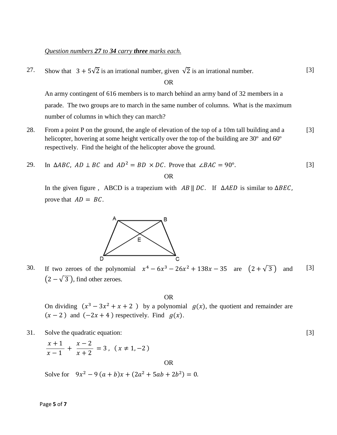# *Question numbers 27 to 34 carry three marks each.*

27. Show that  $3 + 5\sqrt{2}$  is an irrational number, given  $\sqrt{2}$  is an irrational number.

OR

An army contingent of 616 members is to march behind an army band of 32 members in a parade. The two groups are to march in the same number of columns. What is the maximum number of columns in which they can march?

28. From a point P on the ground, the angle of elevation of the top of a 10m tall building and a helicopter, hovering at some height vertically over the top of the building are 30<sup>°</sup> and 60<sup>°</sup> respectively. Find the height of the helicopter above the ground. [3]

29. In 
$$
\triangle ABC
$$
,  $AD \perp BC$  and  $AD^2 = BD \times DC$ . Prove that  $\angle BAC = 90^\circ$ . [3]

In the given figure, ABCD is a trapezium with  $AB \parallel DC$ . If  $\triangle AED$  is similar to  $\triangle BEC$ , prove that  $AD = BC$ .



30. If two zeroes of the polynomial  $x^4 - 6x^3 - 26x^2 + 138x - 35$  are  $(2 + \sqrt{3})$  and  $(2-\sqrt{3})$ , find other zeroes. [3]

OR

On dividing  $(x^3 - 3x^2 + x + 2)$  by a polynomial  $g(x)$ , the quotient and remainder are  $(x - 2)$  and  $(-2x + 4)$  respectively. Find  $g(x)$ .

OR

31. Solve the quadratic equation:

$$
\frac{x+1}{x-1} + \frac{x-2}{x+2} = 3, (x \neq 1, -2)
$$

Solve for  $9x^2 - 9(a+b)x + (2a^2 + 5ab + 2b^2) = 0$ .

[3]

[3]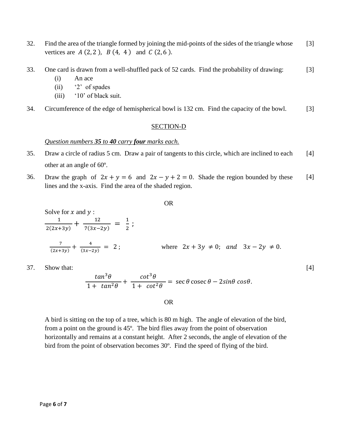- 32. Find the area of the triangle formed by joining the mid-points of the sides of the triangle whose vertices are  $A(2, 2)$ ,  $B(4, 4)$  and  $C(2, 6)$ . [3]
- 33. One card is drawn from a well-shuffled pack of 52 cards. Find the probability of drawing: [3]
	- (i) An ace
	- (ii) '2' of spades
	- (iii) '10' of black suit.
- 34. Circumference of the edge of hemispherical bowl is 132 cm. Find the capacity of the bowl. [3]

## SECTION-D

## *Question numbers 35 to 40 carry four marks each.*

- 35. Draw a circle of radius 5 cm. Draw a pair of tangents to this circle, which are inclined to each other at an angle of 60º. [4]
- 36. Draw the graph of  $2x + y = 6$  and  $2x y + 2 = 0$ . Shade the region bounded by these lines and the x-axis. Find the area of the shaded region. [4]

OR

Solve for x and y :  
\n
$$
\frac{1}{2(2x+3y)} + \frac{12}{7(3x-2y)} = \frac{1}{2};
$$
\n
$$
\frac{7}{(2x+3y)} + \frac{4}{(3x-2y)} = 2;
$$
\nwhere  $2x + 3y \neq 0$ ; and  $3x - 2y \neq 0$ .

[4]

37. Show that:

$$
\frac{\tan^3\theta}{1+\tan^2\theta}+\frac{\cot^3\theta}{1+\cot^2\theta}=\sec\theta\csc\theta-2\sin\theta\cos\theta.
$$

# OR

A bird is sitting on the top of a tree, which is 80 m high. The angle of elevation of the bird, from a point on the ground is 45º. The bird flies away from the point of observation horizontally and remains at a constant height. After 2 seconds, the angle of elevation of the bird from the point of observation becomes 30º. Find the speed of flying of the bird.